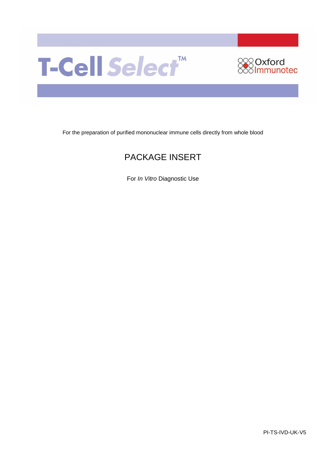



For the preparation of purified mononuclear immune cells directly from whole blood

# PACKAGE INSERT

For *In Vitro* Diagnostic Use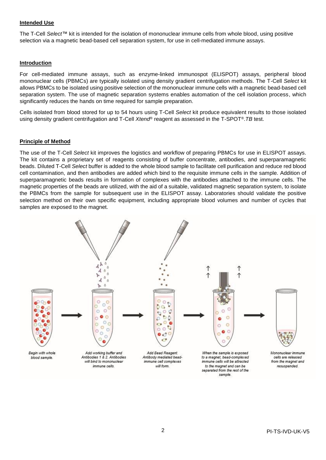#### **Intended Use**

The T-Cell *Select™* kit is intended for the isolation of mononuclear immune cells from whole blood, using positive selection via a magnetic bead-based cell separation system, for use in cell-mediated immune assays.

#### **Introduction**

For cell-mediated immune assays, such as enzyme-linked immunospot (ELISPOT) assays, peripheral blood mononuclear cells (PBMCs) are typically isolated using density gradient centrifugation methods. The T-Cell *Select* kit allows PBMCs to be isolated using positive selection of the mononuclear immune cells with a magnetic bead-based cell separation system. The use of magnetic separation systems enables automation of the cell isolation process, which significantly reduces the hands on time required for sample preparation.

Cells isolated from blood stored for up to 54 hours using T-Cell *Select* kit produce equivalent results to those isolated using density gradient centrifugation and T-Cell *Xtend®* reagent as assessed in the T-SPOT*®*.*TB* test.

#### **Principle of Method**

The use of the T-Cell *Select* kit improves the logistics and workflow of preparing PBMCs for use in ELISPOT assays. The kit contains a proprietary set of reagents consisting of buffer concentrate, antibodies, and superparamagnetic beads. Diluted T-Cell *Select* buffer is added to the whole blood sample to facilitate cell purification and reduce red blood cell contamination, and then antibodies are added which bind to the requisite immune cells in the sample. Addition of superparamagnetic beads results in formation of complexes with the antibodies attached to the immune cells. The magnetic properties of the beads are utilized, with the aid of a suitable, validated magnetic separation system, to isolate the PBMCs from the sample for subsequent use in the ELISPOT assay. Laboratories should validate the positive selection method on their own specific equipment, including appropriate blood volumes and number of cycles that samples are exposed to the magnet.

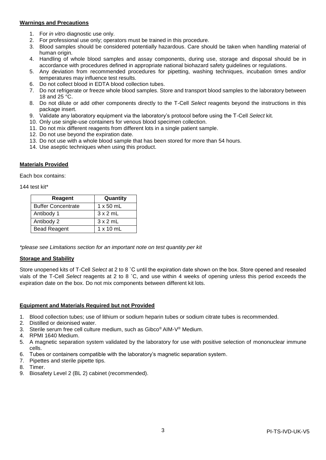## **Warnings and Precautions**

- 1. For *in vitro* diagnostic use only.
- 2. For professional use only; operators must be trained in this procedure.
- 3. Blood samples should be considered potentially hazardous. Care should be taken when handling material of human origin.
- 4. Handling of whole blood samples and assay components, during use, storage and disposal should be in accordance with procedures defined in appropriate national biohazard safety guidelines or regulations.
- 5. Any deviation from recommended procedures for pipetting, washing techniques, incubation times and/or temperatures may influence test results.
- 6. Do not collect blood in EDTA blood collection tubes.
- 7. Do not refrigerate or freeze whole blood samples. Store and transport blood samples to the laboratory between 18 and 25 °C.
- 8. Do not dilute or add other components directly to the T-Cell *Select* reagents beyond the instructions in this package insert.
- 9. Validate any laboratory equipment via the laboratory's protocol before using the T-Cell *Select* kit.
- 10. Only use single-use containers for venous blood specimen collection.
- 11. Do not mix different reagents from different lots in a single patient sample.
- 12. Do not use beyond the expiration date.
- 13. Do not use with a whole blood sample that has been stored for more than 54 hours.
- 14. Use aseptic techniques when using this product.

#### **Materials Provided**

Each box contains:

144 test kit\*

| Reagent                   | Quantity         |
|---------------------------|------------------|
| <b>Buffer Concentrate</b> | $1 \times 50$ mL |
| Antibody 1                | $3 \times 2$ mL  |
| Antibody 2                | $3 \times 2$ mL  |
| <b>Bead Reagent</b>       | $1 \times 10$ mL |

*\*please see Limitations section for an important note on test quantity per kit*

#### **Storage and Stability**

Store unopened kits of T-Cell *Select* at 2 to 8 ˚C until the expiration date shown on the box. Store opened and resealed vials of the T-Cell *Select* reagents at 2 to 8 ˚C, and use within 4 weeks of opening unless this period exceeds the expiration date on the box. Do not mix components between different kit lots.

## **Equipment and Materials Required but not Provided**

- 1. Blood collection tubes; use of lithium or sodium heparin tubes or sodium citrate tubes is recommended.
- 2. Distilled or deionised water.
- 3. Sterile serum free cell culture medium, such as Gibco® AIM-V® Medium.
- 4. RPMI 1640 Medium.
- 5. A magnetic separation system validated by the laboratory for use with positive selection of mononuclear immune cells.
- 6. Tubes or containers compatible with the laboratory's magnetic separation system.
- 7. Pipettes and sterile pipette tips.
- 8. Timer.
- 9. Biosafety Level 2 (BL 2) cabinet (recommended).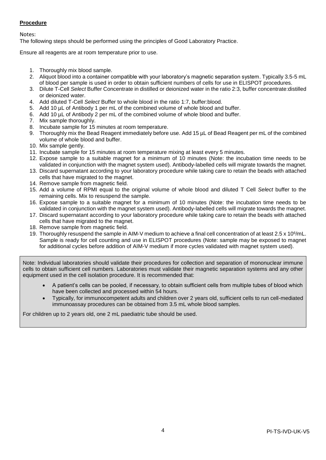# **Procedure**

Notes:

The following steps should be performed using the principles of Good Laboratory Practice.

Ensure all reagents are at room temperature prior to use.

- 1. Thoroughly mix blood sample.
- 2. Aliquot blood into a container compatible with your laboratory's magnetic separation system. Typically 3.5-5 mL of blood per sample is used in order to obtain sufficient numbers of cells for use in ELISPOT procedures.
- 3. Dilute T-Cell *Select* Buffer Concentrate in distilled or deionized water in the ratio 2:3, buffer concentrate:distilled or deionized water.
- 4. Add diluted T-Cell *Select* Buffer to whole blood in the ratio 1:7, buffer:blood.
- 5. Add 10 µL of Antibody 1 per mL of the combined volume of whole blood and buffer.
- 6. Add 10 µL of Antibody 2 per mL of the combined volume of whole blood and buffer.
- 7. Mix sample thoroughly.
- 8. Incubate sample for 15 minutes at room temperature.
- 9. Thoroughly mix the Bead Reagent immediately before use. Add 15 µL of Bead Reagent per mL of the combined volume of whole blood and buffer.
- 10. Mix sample gently.
- 11. Incubate sample for 15 minutes at room temperature mixing at least every 5 minutes.
- 12. Expose sample to a suitable magnet for a minimum of 10 minutes (Note: the incubation time needs to be validated in conjunction with the magnet system used). Antibody-labelled cells will migrate towards the magnet.
- 13. Discard supernatant according to your laboratory procedure while taking care to retain the beads with attached cells that have migrated to the magnet.
- 14. Remove sample from magnetic field.
- 15. Add a volume of RPMI equal to the original volume of whole blood and diluted T Cell *Select* buffer to the remaining cells. Mix to resuspend the sample.
- 16. Expose sample to a suitable magnet for a minimum of 10 minutes (Note: the incubation time needs to be validated in conjunction with the magnet system used). Antibody-labelled cells will migrate towards the magnet.
- 17. Discard supernatant according to your laboratory procedure while taking care to retain the beads with attached cells that have migrated to the magnet.
- 18. Remove sample from magnetic field.
- 19. Thoroughly resuspend the sample in AIM-V medium to achieve a final cell concentration of at least 2.5 x 10<sup>6</sup>/mL. Sample is ready for cell counting and use in ELISPOT procedures (Note: sample may be exposed to magnet for additional cycles before addition of AIM-V medium if more cycles validated with magnet system used).

Note: Individual laboratories should validate their procedures for collection and separation of mononuclear immune cells to obtain sufficient cell numbers. Laboratories must validate their magnetic separation systems and any other equipment used in the cell isolation procedure. It is recommended that:

- A patient's cells can be pooled, if necessary, to obtain sufficient cells from multiple tubes of blood which have been collected and processed within 54 hours.
- Typically, for immunocompetent adults and children over 2 years old, sufficient cells to run cell-mediated immunoassay procedures can be obtained from 3.5 mL whole blood samples.

For children up to 2 years old, one 2 mL paediatric tube should be used.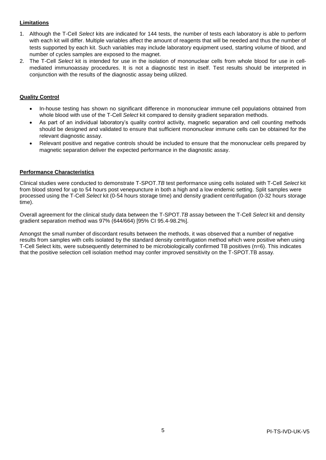# **Limitations**

- 1. Although the T-Cell *Select* kits are indicated for 144 tests, the number of tests each laboratory is able to perform with each kit will differ. Multiple variables affect the amount of reagents that will be needed and thus the number of tests supported by each kit. Such variables may include laboratory equipment used, starting volume of blood, and number of cycles samples are exposed to the magnet.
- 2. The T-Cell *Select* kit is intended for use in the isolation of mononuclear cells from whole blood for use in cellmediated immunoassay procedures. It is not a diagnostic test in itself. Test results should be interpreted in conjunction with the results of the diagnostic assay being utilized.

# **Quality Control**

- In-house testing has shown no significant difference in mononuclear immune cell populations obtained from whole blood with use of the T-Cell *Select* kit compared to density gradient separation methods.
- As part of an individual laboratory's quality control activity, magnetic separation and cell counting methods should be designed and validated to ensure that sufficient mononuclear immune cells can be obtained for the relevant diagnostic assay.
- Relevant positive and negative controls should be included to ensure that the mononuclear cells prepared by magnetic separation deliver the expected performance in the diagnostic assay.

## **Performance Characteristics**

Clinical studies were conducted to demonstrate T-SPOT.*TB* test performance using cells isolated with T-Cell *Select* kit from blood stored for up to 54 hours post venepuncture in both a high and a low endemic setting. Split samples were processed using the T-Cell *Select* kit (0-54 hours storage time) and density gradient centrifugation (0-32 hours storage time).

Overall agreement for the clinical study data between the T-SPOT.*TB* assay between the T-Cell *Select* kit and density gradient separation method was 97% (644/664) [95% CI 95.4-98.2%].

Amongst the small number of discordant results between the methods, it was observed that a number of negative results from samples with cells isolated by the standard density centrifugation method which were positive when using T-Cell Select kits, were subsequently determined to be microbiologically confirmed TB positives (n=6). This indicates that the positive selection cell isolation method may confer improved sensitivity on the T-SPOT.TB assay.